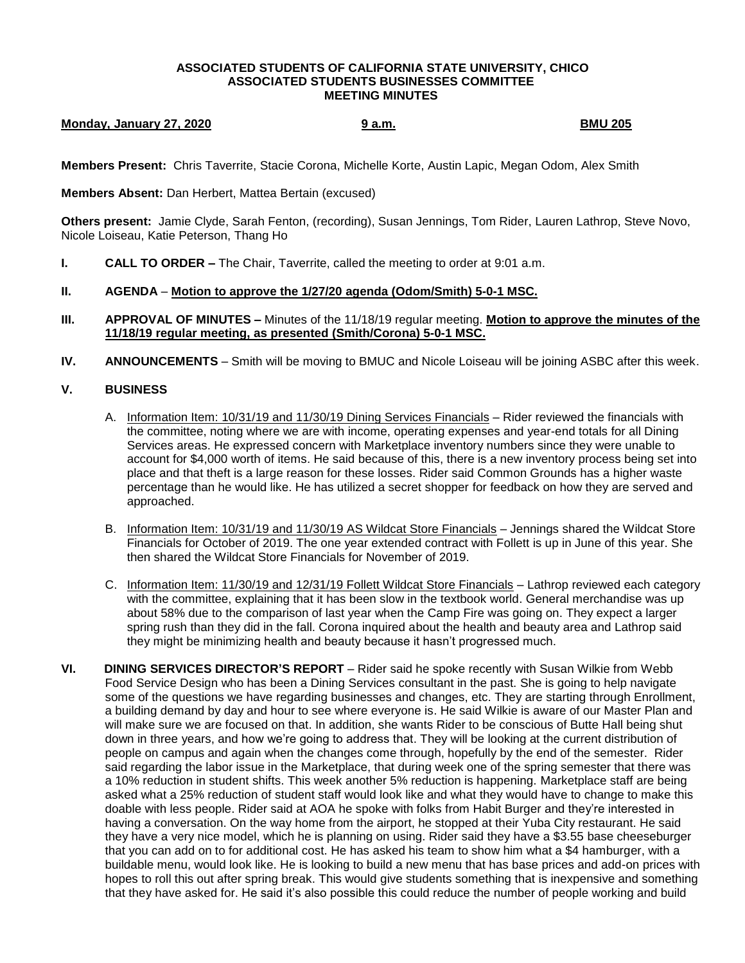## **ASSOCIATED STUDENTS OF CALIFORNIA STATE UNIVERSITY, CHICO ASSOCIATED STUDENTS BUSINESSES COMMITTEE MEETING MINUTES**

## **Monday, January 27, 2020 9 a.m. BMU 205**

**Members Present:** Chris Taverrite, Stacie Corona, Michelle Korte, Austin Lapic, Megan Odom, Alex Smith

**Members Absent:** Dan Herbert, Mattea Bertain (excused)

**Others present:** Jamie Clyde, Sarah Fenton, (recording), Susan Jennings, Tom Rider, Lauren Lathrop, Steve Novo, Nicole Loiseau, Katie Peterson, Thang Ho

**I. CALL TO ORDER –** The Chair, Taverrite, called the meeting to order at 9:01 a.m.

## **II. AGENDA** – **Motion to approve the 1/27/20 agenda (Odom/Smith) 5-0-1 MSC.**

- **III. APPROVAL OF MINUTES –** Minutes of the 11/18/19 regular meeting. **Motion to approve the minutes of the 11/18/19 regular meeting, as presented (Smith/Corona) 5-0-1 MSC.**
- **IV. ANNOUNCEMENTS** Smith will be moving to BMUC and Nicole Loiseau will be joining ASBC after this week.

## **V. BUSINESS**

- A. Information Item: 10/31/19 and 11/30/19 Dining Services Financials Rider reviewed the financials with the committee, noting where we are with income, operating expenses and year-end totals for all Dining Services areas. He expressed concern with Marketplace inventory numbers since they were unable to account for \$4,000 worth of items. He said because of this, there is a new inventory process being set into place and that theft is a large reason for these losses. Rider said Common Grounds has a higher waste percentage than he would like. He has utilized a secret shopper for feedback on how they are served and approached.
- B. Information Item: 10/31/19 and 11/30/19 AS Wildcat Store Financials Jennings shared the Wildcat Store Financials for October of 2019. The one year extended contract with Follett is up in June of this year. She then shared the Wildcat Store Financials for November of 2019.
- C. Information Item: 11/30/19 and 12/31/19 Follett Wildcat Store Financials Lathrop reviewed each category with the committee, explaining that it has been slow in the textbook world. General merchandise was up about 58% due to the comparison of last year when the Camp Fire was going on. They expect a larger spring rush than they did in the fall. Corona inquired about the health and beauty area and Lathrop said they might be minimizing health and beauty because it hasn't progressed much.
- **VI. DINING SERVICES DIRECTOR'S REPORT** Rider said he spoke recently with Susan Wilkie from Webb Food Service Design who has been a Dining Services consultant in the past. She is going to help navigate some of the questions we have regarding businesses and changes, etc. They are starting through Enrollment, a building demand by day and hour to see where everyone is. He said Wilkie is aware of our Master Plan and will make sure we are focused on that. In addition, she wants Rider to be conscious of Butte Hall being shut down in three years, and how we're going to address that. They will be looking at the current distribution of people on campus and again when the changes come through, hopefully by the end of the semester. Rider said regarding the labor issue in the Marketplace, that during week one of the spring semester that there was a 10% reduction in student shifts. This week another 5% reduction is happening. Marketplace staff are being asked what a 25% reduction of student staff would look like and what they would have to change to make this doable with less people. Rider said at AOA he spoke with folks from Habit Burger and they're interested in having a conversation. On the way home from the airport, he stopped at their Yuba City restaurant. He said they have a very nice model, which he is planning on using. Rider said they have a \$3.55 base cheeseburger that you can add on to for additional cost. He has asked his team to show him what a \$4 hamburger, with a buildable menu, would look like. He is looking to build a new menu that has base prices and add-on prices with hopes to roll this out after spring break. This would give students something that is inexpensive and something that they have asked for. He said it's also possible this could reduce the number of people working and build